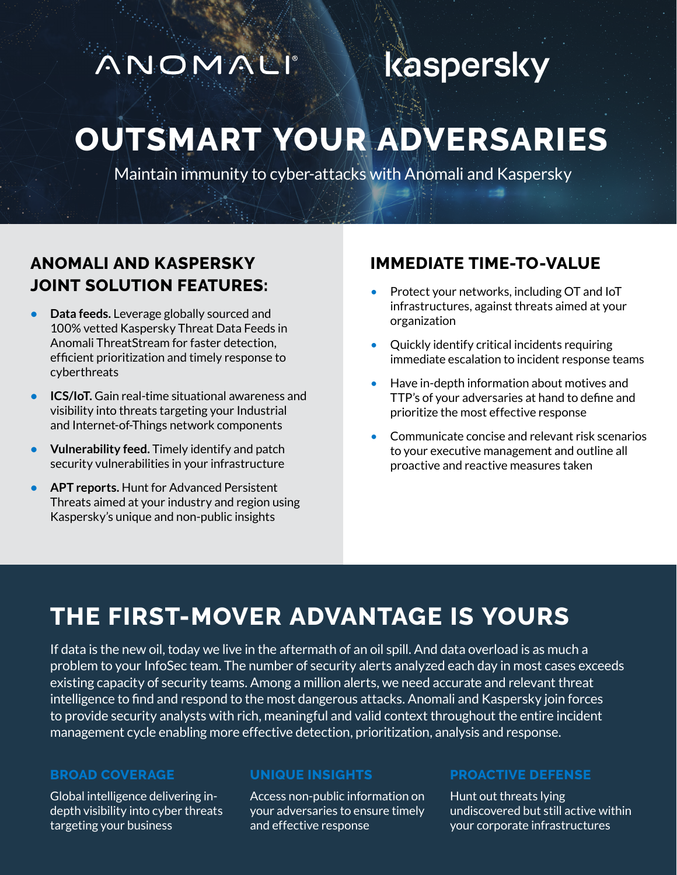# ANOMALI

# kaspersky

# **OUTSMART YOUR ADVERSARIES**

Maintain immunity to cyber-attacks with Anomali and Kaspersky

# **ANOMALI AND KASPERSKY JOINT SOLUTION FEATURES:**

- **• Data feeds.** Leverage globally sourced and 100% vetted Kaspersky Threat Data Feeds in Anomali ThreatStream for faster detection, efficient prioritization and timely response to cyberthreats
- **• ICS/IoT.** Gain real-time situational awareness and visibility into threats targeting your Industrial and Internet-of-Things network components
- **• Vulnerability feed.** Timely identify and patch security vulnerabilities in your infrastructure
- **• APT reports.** Hunt for Advanced Persistent Threats aimed at your industry and region using Kaspersky's unique and non-public insights

# **IMMEDIATE TIME-TO-VALUE**

- Protect your networks, including OT and IoT infrastructures, against threats aimed at your organization
- Quickly identify critical incidents requiring immediate escalation to incident response teams
- Have in-depth information about motives and TTP's of your adversaries at hand to define and prioritize the most effective response
- Communicate concise and relevant risk scenarios to your executive management and outline all proactive and reactive measures taken

# **THE FIRST-MOVER ADVANTAGE IS YOURS**

If data is the new oil, today we live in the aftermath of an oil spill. And data overload is as much a problem to your InfoSec team. The number of security alerts analyzed each day in most cases exceeds existing capacity of security teams. Among a million alerts, we need accurate and relevant threat intelligence to find and respond to the most dangerous attacks. Anomali and Kaspersky join forces to provide security analysts with rich, meaningful and valid context throughout the entire incident management cycle enabling more effective detection, prioritization, analysis and response.

### **BROAD COVERAGE**

Global intelligence delivering indepth visibility into cyber threats targeting your business

### **UNIQUE INSIGHTS**

Access non-public information on your adversaries to ensure timely and effective response

#### **PROACTIVE DEFENSE**

Hunt out threats lying undiscovered but still active within your corporate infrastructures